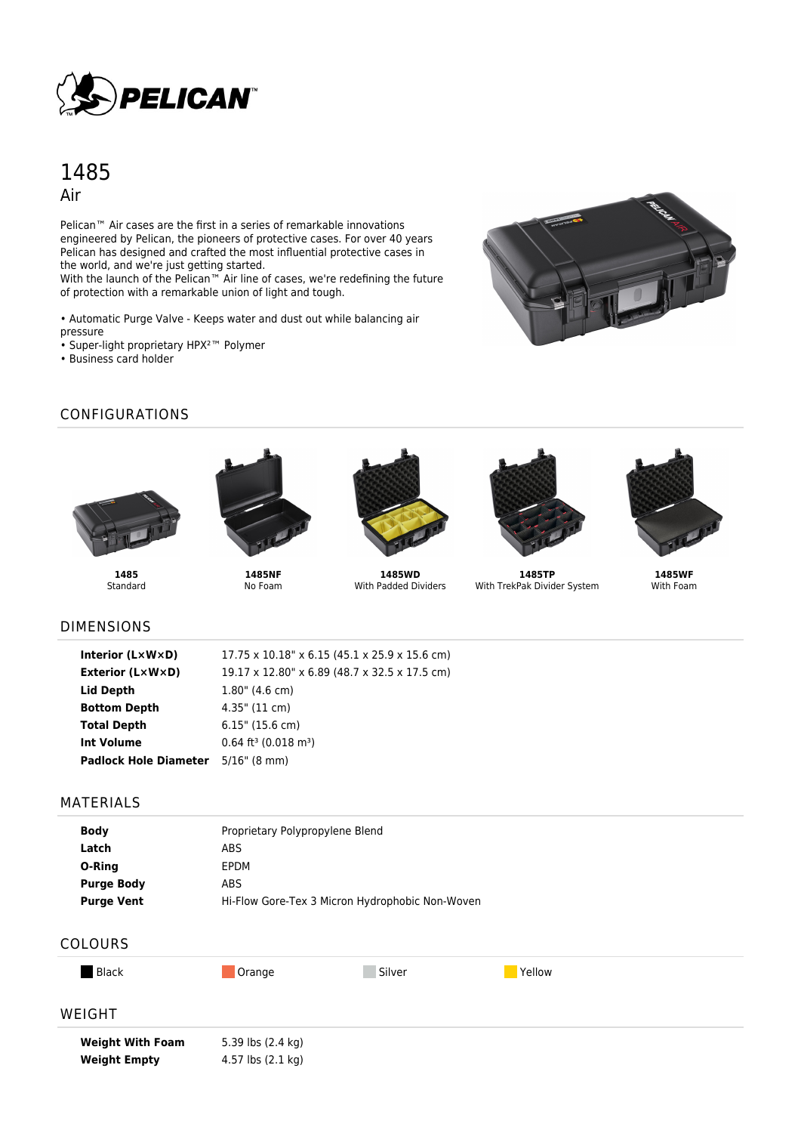

# 1485 Air

Pelican<sup>™</sup> Air cases are the first in a series of remarkable innovations engineered by Pelican, the pioneers of protective cases. For over 40 years Pelican has designed and crafted the most influential protective cases in the world, and we're just getting started.

With the launch of the Pelican™ Air line of cases, we're redefining the future of protection with a remarkable union of light and tough.

• Automatic Purge Valve - Keeps water and dust out while balancing air pressure

- Super-light proprietary HPX²™ Polymer
- Business card holder



# CONFIGURATIONS





**1485** Standard

**1485NF** No Foam



**1485WD** With Padded Dividers



**1485TP** With TrekPak Divider System



**1485WF** With Foam

#### DIMENSIONS

| Interior (LxWxD)                          | $17.75 \times 10.18$ " x 6.15 (45.1 x 25.9 x 15.6 cm) |
|-------------------------------------------|-------------------------------------------------------|
| <b>Exterior (L×W×D)</b>                   | 19.17 x 12.80" x 6.89 (48.7 x 32.5 x 17.5 cm)         |
| Lid Depth                                 | $1.80$ " (4.6 cm)                                     |
| <b>Bottom Depth</b>                       | $4.35$ " (11 cm)                                      |
| <b>Total Depth</b>                        | $6.15$ " (15.6 cm)                                    |
| <b>Int Volume</b>                         | $0.64$ ft <sup>3</sup> (0.018 m <sup>3</sup> )        |
| <b>Padlock Hole Diameter</b> 5/16" (8 mm) |                                                       |

#### MATERIALS

| <b>Body</b>       | Proprietary Polypropylene Blend                 |
|-------------------|-------------------------------------------------|
| Latch             | ABS                                             |
| O-Ring            | EPDM                                            |
| <b>Purge Body</b> | ABS                                             |
| <b>Purge Vent</b> | Hi-Flow Gore-Tex 3 Micron Hydrophobic Non-Woven |

## COLOURS

**Weight Empty** 4.57 lbs (2.1 kg)

| <b>Black</b>            | Orange            | Silver | Yellow |  |
|-------------------------|-------------------|--------|--------|--|
| WEIGHT                  |                   |        |        |  |
| <b>Weight With Foam</b> | 5.39 lbs (2.4 kg) |        |        |  |